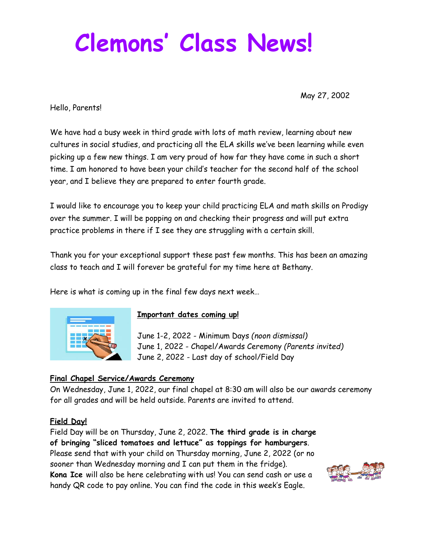# **Clemons ' Class News!**

May 27, 2002

Hello, Parents!

We have had a busy week in third grade with lots of math review, learning about new cultures in social studies, and practicing all the ELA skills we've been learning while even picking up a few new things. I am very proud of how far they have come in such a short time. I am honored to have been your child's teacher for the second half of the school year, and I believe they are prepared to enter fourth grade.

I would like to encourage you to keep your child practicing ELA and math skills on Prodigy over the summer. I will be popping on and checking their progress and will put extra practice problems in there if I see they are struggling with a certain skill.

Thank you for your exceptional support these past few months. This has been an amazing class to teach and I will forever be grateful for my time here at Bethany.

Here is what is coming up in the final few days next week…



#### **Important dates coming up!**

June 1-2, 2022 - Minimum Days *(noon dismissal)* June 1, 2022 - Chapel/Awards Ceremony *(Parents invited)* June 2, 2022 - Last day of school/Field Day

## **Final Chapel Service/Awards Ceremony**

On Wednesday, June 1, 2022, our final chapel at 8:30 am will also be our awards ceremony for all grades and will be held outside. Parents are invited to attend.

## **Field Day!**

Field Day will be on Thursday, June 2, 2022. **The third grade is in charge of bringing "sliced tomatoes and lettuce" as toppings for hamburgers**. Please send that with your child on Thursday morning, June 2, 2022 (or no sooner than Wednesday morning and I can put them in the fridge). **Kona Ice** will also be here celebrating with us! You can send cash or use a handy QR code to pay online. You can find the code in this week's Eagle.